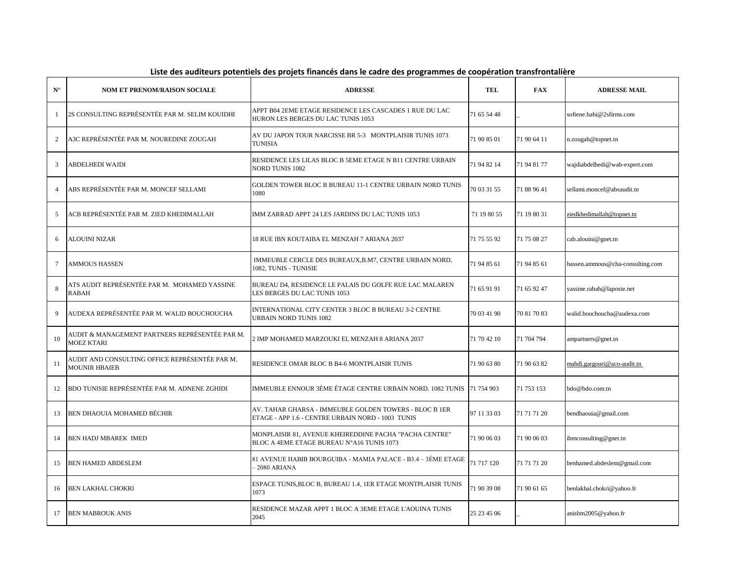| $N^{\circ}$    | <b>NOM ET PRENOM/RAISON SOCIALE</b>                                    | <b>ADRESSE</b>                                                                                              | <b>TEL</b>  | <b>FAX</b>  | <b>ADRESSE MAIL</b>              |
|----------------|------------------------------------------------------------------------|-------------------------------------------------------------------------------------------------------------|-------------|-------------|----------------------------------|
|                | 2S CONSULTING REPRÉSENTÉE PAR M. SELIM KOUIDHI                         | APPT B04 2EME ETAGE RESIDENCE LES CASCADES 1 RUE DU LAC<br>HURON LES BERGES DU LAC TUNIS 1053               | 71 65 54 48 |             | sofiene.bahi@2sfirms.com         |
| 2              | A3C REPRÉSENTÉE PAR M. NOUREDINE ZOUGAH                                | AV DU JAPON TOUR NARCISSE BR 5-3 MONTPLAISIR TUNIS 1073<br>TUNISIA                                          | 71 90 85 01 | 71 90 64 11 | n.zougah@topnet.tn               |
| 3              | ABDELHEDI WAJDI                                                        | RESIDENCE LES LILAS BLOC B 5EME ETAGE N B11 CENTRE URBAIN<br><b>NORD TUNIS 1082</b>                         | 71 94 82 14 | 71 94 81 77 | wajdiabdelhedi@wab-expert.com    |
| $\overline{4}$ | ABS REPRÉSENTÉE PAR M. MONCEF SELLAMI                                  | GOLDEN TOWER BLOC B BUREAU 11-1 CENTRE URBAIN NORD TUNIS<br>1080                                            | 70 03 31 55 | 71 88 96 41 | sellami.moncef@absaudit.tn       |
| 5              | ACB REPRÉSENTÉE PAR M. ZIED KHEDIMALLAH                                | IMM ZARRAD APPT 24 LES JARDINS DU LAC TUNIS 1053                                                            | 71 19 80 55 | 71 19 80 31 | ziedkhedimallah@topnet.tn        |
| 6              | ALOUINI NIZAR                                                          | 18 RUE IBN KOUTAIBA EL MENZAH 7 ARIANA 2037                                                                 | 71 75 55 92 | 71 75 08 27 | cab.alouini@gnet.tn              |
| $\tau$         | <b>AMMOUS HASSEN</b>                                                   | IMMEUBLE CERCLE DES BUREAUX, B.M7, CENTRE URBAIN NORD,<br>1082, TUNIS - TUNISIE                             | 71 94 85 61 | 71 94 85 61 | hassen.ammous@cha-consulting.com |
| 8              | ATS AUDIT REPRÉSENTÉE PAR M.  MOHAMED YASSINE<br><b>RABAH</b>          | BUREAU D4, RESIDENCE LE PALAIS DU GOLFE RUE LAC MALAREN<br>LES BERGES DU LAC TUNIS 1053                     | 71 65 91 91 | 71 65 92 47 | yassine.rabah@laposte.net        |
| $\mathbf{Q}$   | AUDEXA REPRÉSENTÉE PAR M. WALID BOUCHOUCHA                             | INTERNATIONAL CITY CENTER 3 BLOC B BUREAU 3-2 CENTRE<br>URBAIN NORD TUNIS 1082                              | 70 03 41 90 | 70 81 70 83 | walid.bouchoucha@audexa.com      |
| 10             | AUDIT & MANAGEMENT PARTNERS REPRÉSENTÉE PAR M.<br><b>MOEZ KTARI</b>    | 2 IMP MOHAMED MARZOUKI EL MENZAH 8 ARIANA 2037                                                              | 71 70 42 10 | 71 704 794  | ampartners@gnet.tn               |
| 11             | AUDIT AND CONSULTING OFFICE REPRÉSENTÉE PAR M.<br><b>MOUNIR HBAIEB</b> | RESIDENCE OMAR BLOC B B4-6 MONTPLAISIR TUNIS                                                                | 71 90 63 80 | 71 90 63 82 | mahdi.gargouri@aco-audit.tn      |
| 12             | BDO TUNISIE REPRÉSENTÉE PAR M. ADNENE ZGHIDI                           | IMMEUBLE ENNOUR 3ÈME ÉTAGE CENTRE URBAIN NORD. 1082 TUNIS 71 754 903                                        |             | 71 753 153  | bdo@bdo.com.tn                   |
| 13             | <b>BEN DHAOUIA MOHAMED BÉCHIR</b>                                      | AV. TAHAR GHARSA - IMMEUBLE GOLDEN TOWERS - BLOC B 1ER<br>ETAGE - APP 1.6 - CENTRE URBAIN NORD - 1003 TUNIS | 97 11 33 03 | 71 71 71 20 | bendhaouia@gmail.com             |
| 14             | <b>BEN HADJ MBAREK IMED</b>                                            | MONPLAISIR 81, AVENUE KHEIREDDINE PACHA "PACHA CENTRE"<br>BLOC A 4EME ETAGE BUREAU N°A16 TUNIS 1073         | 71 90 06 03 | 71 90 06 03 | ibmconsulting@gnet.tn            |
| 15             | BEN HAMED ABDESLEM                                                     | 81 AVENUE HABIB BOURGUIBA - MAMIA PALACE - B3.4 – 3ÉME ETAGE<br>-2080 ARIANA                                | 71 717 120  | 71 71 71 20 | benhamed.abdeslem@gmail.com      |
| 16             | <b>BEN LAKHAL CHOKRI</b>                                               | ESPACE TUNIS, BLOC B, BUREAU 1.4, 1ER ETAGE MONTPLAISIR TUNIS<br>1073                                       | 71 90 39 08 | 71 90 61 65 | benlakhal.chokri@yahoo.fr        |
| 17             | <b>BEN MABROUK ANIS</b>                                                | RESIDENCE MAZAR APPT 1 BLOC A 3EME ETAGE L'AOUINA TUNIS<br>2045                                             | 25 23 45 06 |             | anisbm2005@yahoo.fr              |

## **Liste des auditeurs potentiels des projets financés dans le cadre des programmes de coopération transfrontalière**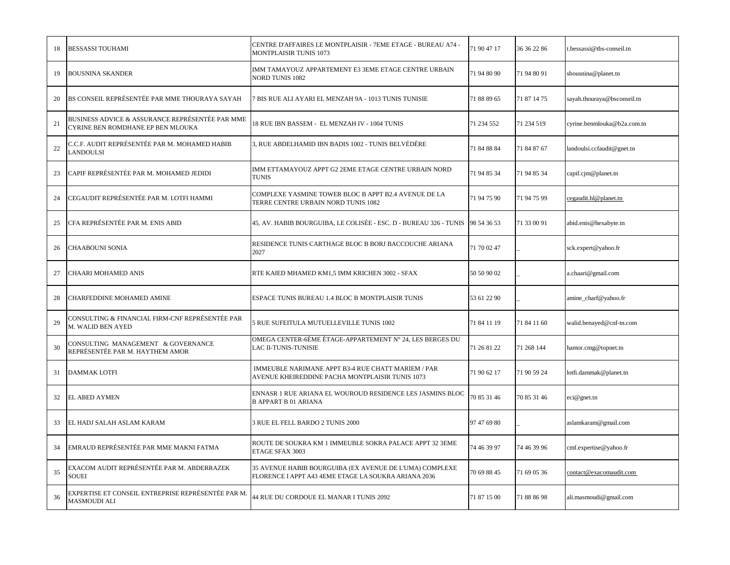| 18 | <b>BESSASSI TOUHAMI</b>                                                              | CENTRE D'AFFAIRES LE MONTPLAISIR - 7EME ETAGE - BUREAU A74 -<br><b>MONTPLAISIR TUNIS 1073</b>                   | 71 90 47 17 | 36 36 22 86 | t.bessassi@tbs-conseil.tn   |
|----|--------------------------------------------------------------------------------------|-----------------------------------------------------------------------------------------------------------------|-------------|-------------|-----------------------------|
| 19 | <b>BOUSNINA SKANDER</b>                                                              | IMM TAMAYOUZ APPARTEMENT E3 3EME ETAGE CENTRE URBAIN<br><b>NORD TUNIS 1082</b>                                  | 71 94 80 90 | 71 94 80 91 | sbousnina@planet.tn         |
| 20 | BS CONSEIL REPRÉSENTÉE PAR MME THOURAYA SAYAH                                        | 7 BIS RUE ALI AYARI EL MENZAH 9A - 1013 TUNIS TUNISIE                                                           | 71 88 89 65 | 71 87 14 75 | sayah.thouraya@bsconseil.tn |
| 21 | BUSINESS ADVICE & ASSURANCE REPRÉSENTÉE PAR MME<br>CYRINE BEN ROMDHANE EP BEN MLOUKA | 18 RUE IBN BASSEM - EL MENZAH IV - 1004 TUNIS                                                                   | 71 234 552  | 71 234 519  | cyrine.benmlouka@b2a.com.tn |
| 22 | C.C.F. AUDIT REPRÉSENTÉE PAR M. MOHAMED HABIB<br>LANDOULSI                           | 3, RUE ABDELHAMID IBN BADIS 1002 - TUNIS BELVÉDÈRE                                                              | 71 84 88 84 | 71 84 87 67 | landoulsi.ccfaudit@gnet.tn  |
| 23 | CAPIF REPRÉSENTÉE PAR M. MOHAMED JEDIDI                                              | IMM ETTAMAYOUZ APPT G2 2EME ETAGE CENTRE URBAIN NORD<br><b>TUNIS</b>                                            | 71 94 85 34 | 71 94 85 34 | capif.cjm@planet.tn         |
| 24 | CEGAUDIT REPRÉSENTÉE PAR M. LOTFI HAMMI                                              | COMPLEXE YASMINE TOWER BLOC B APPT B2.4 AVENUE DE LA<br>TERRE CENTRE URBAIN NORD TUNIS 1082                     | 71 94 75 90 | 71 94 75 99 | cegaudit.hl@planet.tn       |
| 25 | CFA REPRÉSENTÉE PAR M. ENIS ABID                                                     | 45, AV. HABIB BOURGUIBA, LE COLISÉE - ESC. D - BUREAU 326 - TUNIS                                               | 98 54 36 53 | 71 33 00 91 | abid.enis@hexabyte.tn       |
| 26 | CHAABOUNI SONIA                                                                      | RESIDENCE TUNIS CARTHAGE BLOC B BORJ BACCOUCHE ARIANA<br>2027                                                   | 71 70 02 47 |             | sck.expert@yahoo.fr         |
| 27 | CHAARI MOHAMED ANIS                                                                  | RTE KAIED MHAMED KM1,5 IMM KRICHEN 3002 - SFAX                                                                  | 50 50 90 02 |             | a.chaari@gmail.com          |
| 28 | CHARFEDDINE MOHAMED AMINE                                                            | ESPACE TUNIS BUREAU 1.4 BLOC B MONTPLAISIR TUNIS                                                                | 53 61 22 90 |             | amine_charf@yahoo.fr        |
| 29 | CONSULTING & FINANCIAL FIRM-CNF REPRÉSENTÉE PAR<br>M. WALID BEN AYED                 | 5 RUE SUFEITULA MUTUELLEVILLE TUNIS 1002                                                                        | 71 84 11 19 | 71 84 11 60 | walid.benayed@cnf-tn.com    |
| 30 | CONSULTING MANAGEMENT & GOVERNANCE<br>REPRÉSENTÉE PAR M. HAYTHEM AMOR                | OMEGA CENTER-6ÈME ÉTAGE-APPARTEMENT N° 24, LES BERGES DU<br>LAC II-TUNIS-TUNISIE                                | 71 26 81 22 | 71 268 144  | hamor.cmg@topnet.tn         |
| 31 | <b>DAMMAK LOTFI</b>                                                                  | IMMEUBLE NARIMANE APPT B3-4 RUE CHATT MARIEM / PAR<br>AVENUE KHEIREDDINE PACHA MONTPLAISIR TUNIS 1073           | 71 90 62 17 | 71 90 59 24 | lotfi.dammak@planet.tn      |
| 32 | <b>EL ABED AYMEN</b>                                                                 | ENNASR 1 RUE ARIANA EL WOUROUD RESIDENCE LES JASMINS BLOC<br><b>B APPART B 01 ARIANA</b>                        | 70 85 31 46 | 70 85 31 46 | eci@genet.m                 |
| 33 | EL HADJ SALAH ASLAM KARAM                                                            | 3 RUE EL FELL BARDO 2 TUNIS 2000                                                                                | 97 47 69 80 |             | aslamkaram@gmail.com        |
| 34 | EMRAUD REPRÉSENTÉE PAR MME MAKNI FATMA                                               | ROUTE DE SOUKRA KM 1 IMMEUBLE SOKRA PALACE APPT 32 3EME<br>ETAGE SFAX 3003                                      | 74 46 39 97 | 74 46 39 96 | cmf.expertise@yahoo.fr      |
| 35 | EXACOM AUDIT REPRÉSENTÉE PAR M. ABDERRAZEK<br><b>SOUEI</b>                           | 35 AVENUE HABIB BOURGUIBA (EX AVENUE DE L'UMA) COMPLEXE<br>FLORENCE I APPT A43 4EME ETAGE LA SOUKRA ARIANA 2036 | 70 69 88 45 | 71 69 05 36 | contact@exacomaudit.com     |
| 36 | EXPERTISE ET CONSEIL ENTREPRISE REPRÉSENTÉE PAR M.<br><b>MASMOUDI ALI</b>            | 44 RUE DU CORDOUE EL MANAR I TUNIS 2092                                                                         | 71 87 15 00 | 71 88 86 98 | ali.masmoudi@gmail.com      |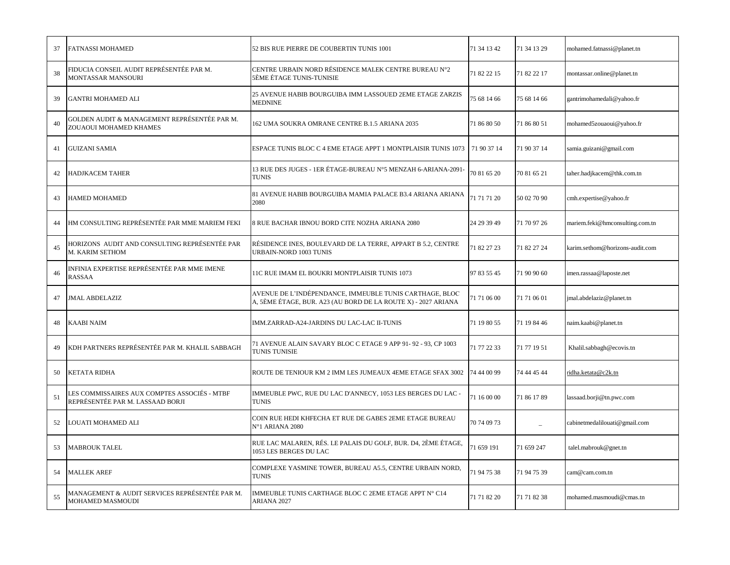| 37 | FATNASSI MOHAMED                                                                 | 52 BIS RUE PIERRE DE COUBERTIN TUNIS 1001                                                                                | 71 34 13 42 | 71 34 13 29 | mohamed.fatnassi@planet.tn      |
|----|----------------------------------------------------------------------------------|--------------------------------------------------------------------------------------------------------------------------|-------------|-------------|---------------------------------|
| 38 | FIDUCIA CONSEIL AUDIT REPRÉSENTÉE PAR M.<br><b>MONTASSAR MANSOURI</b>            | CENTRE URBAIN NORD RÉSIDENCE MALEK CENTRE BUREAU N°2<br>5ÈME ÉTAGE TUNIS-TUNISIE                                         | 71 82 22 15 | 71 82 22 17 | montassar.online@planet.tn      |
| 39 | <b>GANTRI MOHAMED ALI</b>                                                        | 25 AVENUE HABIB BOURGUIBA IMM LASSOUED 2EME ETAGE ZARZIS<br><b>MEDNINE</b>                                               | 75 68 14 66 | 75 68 14 66 | gantrimohamedali@yahoo.fr       |
| 40 | GOLDEN AUDIT & MANAGEMENT REPRÉSENTÉE PAR M.<br>ZOUAOUI MOHAMED KHAMES           | 162 UMA SOUKRA OMRANE CENTRE B.1.5 ARIANA 2035                                                                           | 71 86 80 50 | 71 86 80 51 | mohamed5zouaoui@yahoo.fr        |
| 41 | <b>GUIZANI SAMIA</b>                                                             | ESPACE TUNIS BLOC C 4 EME ETAGE APPT 1 MONTPLAISIR TUNIS 1073                                                            | 71 90 37 14 | 71 90 37 14 | samia.guizani@gmail.com         |
| 42 | <b>HADJKACEM TAHER</b>                                                           | 13 RUE DES JUGES - 1ER ÉTAGE-BUREAU N°5 MENZAH 6-ARIANA-2091-<br><b>TUNIS</b>                                            | 70 81 65 20 | 70 81 65 21 | taher.hadjkacem@thk.com.tn      |
| 43 | <b>HAMED MOHAMED</b>                                                             | 81 AVENUE HABIB BOURGUIBA MAMIA PALACE B3.4 ARIANA ARIANA<br>2080                                                        | 71 71 71 20 | 50 02 70 90 | cmh.expertise@yahoo.fr          |
| 44 | HM CONSULTING REPRÉSENTÉE PAR MME MARIEM FEKI                                    | 8 RUE BACHAR IBNOU BORD CITE NOZHA ARIANA 2080                                                                           | 24 29 39 49 | 71 70 97 26 | mariem.feki@hmconsulting.com.tn |
| 45 | HORIZONS  AUDIT AND CONSULTING REPRÉSENTÉE PAR<br>M. KARIM SETHOM                | RÉSIDENCE INES, BOULEVARD DE LA TERRE, APPART B 5.2, CENTRE<br><b>URBAIN-NORD 1003 TUNIS</b>                             | 71 82 27 23 | 71 82 27 24 | karim.sethom@horizons-audit.com |
| 46 | INFINIA EXPERTISE REPRÉSENTÉE PAR MME IMENE<br><b>RASSAA</b>                     | 11C RUE IMAM EL BOUKRI MONTPLAISIR TUNIS 1073                                                                            | 97 83 55 45 | 71 90 90 60 | imen.rassaa@laposte.net         |
| 47 | <b>JMAL ABDELAZIZ</b>                                                            | AVENUE DE L'INDÉPENDANCE, IMMEUBLE TUNIS CARTHAGE, BLOC<br>A, 5ÈME ÉTAGE, BUR. A23 (AU BORD DE LA ROUTE X) - 2027 ARIANA | 71 71 06 00 | 71 71 06 01 | jmal.abdelaziz@planet.tn        |
| 48 | <b>KAABI NAIM</b>                                                                | IMM.ZARRAD-A24-JARDINS DU LAC-LAC II-TUNIS                                                                               | 71 19 80 55 | 71 19 84 46 | naim.kaabi@planet.tn            |
| 49 | KDH PARTNERS REPRÉSENTÉE PAR M. KHALIL SABBAGH                                   | 71 AVENUE ALAIN SAVARY BLOC C ETAGE 9 APP 91-92 - 93, CP 1003<br><b>TUNIS TUNISIE</b>                                    | 71 77 22 33 | 71 77 19 51 | Khalil.sabbagh@ecovis.tn        |
| 50 | KETATA RIDHA                                                                     | ROUTE DE TENIOUR KM 2 IMM LES JUMEAUX 4EME ETAGE SFAX 3002                                                               | 74 44 00 99 | 74 44 45 44 | ridha.ketata@c2k.tn             |
| 51 | LES COMMISSAIRES AUX COMPTES ASSOCIÉS - MTBF<br>REPRÉSENTÉE PAR M. LASSAAD BORJI | IMMEUBLE PWC, RUE DU LAC D'ANNECY, 1053 LES BERGES DU LAC -<br><b>TUNIS</b>                                              | 71 16 00 00 | 71 86 17 89 | lassaad.borji@tn.pwc.com        |
| 52 | LOUATI MOHAMED ALI                                                               | COIN RUE HEDI KHFECHA ET RUE DE GABES 2EME ETAGE BUREAU<br>N°1 ARIANA 2080                                               | 70 74 09 73 |             | cabinetmedalilouati@gmail.com   |
| 53 | <b>MABROUK TALEL</b>                                                             | RUE LAC MALAREN, RÉS. LE PALAIS DU GOLF, BUR. D4, 2ÈME ÉTAGE,<br>1053 LES BERGES DU LAC                                  | 71 659 191  | 71 659 247  | talel.mabrouk@gnet.tn           |
| 54 | <b>MALLEK AREF</b>                                                               | COMPLEXE YASMINE TOWER, BUREAU A5.5, CENTRE URBAIN NORD,<br><b>TUNIS</b>                                                 | 71 94 75 38 | 71 94 75 39 | cam@cam.com.tn                  |
| 55 | MANAGEMENT & AUDIT SERVICES REPRÉSENTÉE PAR M.<br>MOHAMED MASMOUDI               | IMMEUBLE TUNIS CARTHAGE BLOC C 2EME ETAGE APPT N° C14<br>ARIANA 2027                                                     | 71 71 82 20 | 71 71 82 38 | mohamed.masmoudi@cmas.tn        |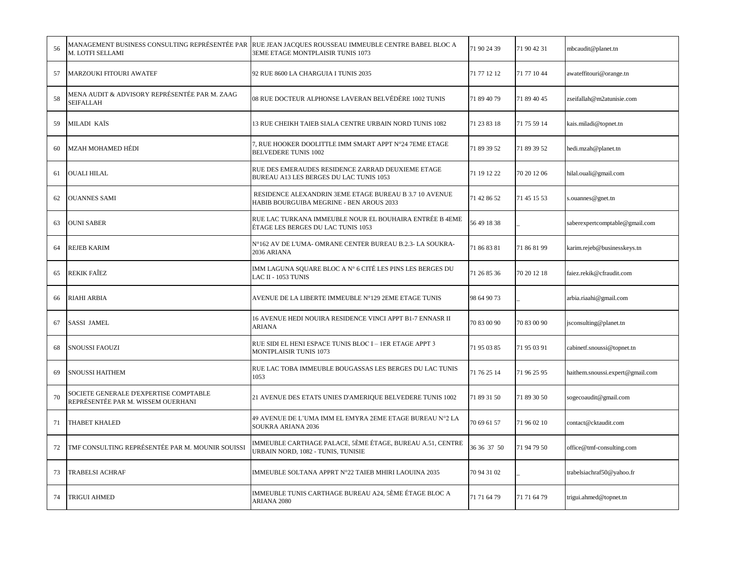| 56 | MANAGEMENT BUSINESS CONSULTING REPRÉSENTÉE PAR<br>M. LOTFI SELLAMI           | RUE JEAN JACQUES ROUSSEAU IMMEUBLE CENTRE BABEL BLOC A<br>3EME ETAGE MONTPLAISIR TUNIS 1073        | 71 90 24 39 | 71 90 42 31 | mbcaudit@planet.tn               |
|----|------------------------------------------------------------------------------|----------------------------------------------------------------------------------------------------|-------------|-------------|----------------------------------|
| 57 | <b>MARZOUKI FITOURI AWATEF</b>                                               | 92 RUE 8600 LA CHARGUIA I TUNIS 2035                                                               | 71 77 12 12 | 71 77 10 44 | awateffitouri@orange.tn          |
| 58 | MENA AUDIT & ADVISORY REPRÉSENTÉE PAR M. ZAAG<br><b>SEIFALLAH</b>            | 08 RUE DOCTEUR ALPHONSE LAVERAN BELVÉDÈRE 1002 TUNIS                                               | 71 89 40 79 | 71 89 40 45 | zseifallah@m2atunisie.com        |
| 59 | MILADI KAÏS                                                                  | 13 RUE CHEIKH TAIEB SIALA CENTRE URBAIN NORD TUNIS 1082                                            | 71 23 83 18 | 71 75 59 14 | kais.miladi@topnet.tn            |
| 60 | <b>MZAH MOHAMED HÉDI</b>                                                     | , RUE HOOKER DOOLITTLE IMM SMART APPT N°24 7EME ETAGE<br><b>BELVEDERE TUNIS 1002</b>               | 71 89 39 52 | 71 89 39 52 | hedi.mzah@planet.tn              |
| 61 | <b>OUALI HILAL</b>                                                           | RUE DES EMERAUDES RESIDENCE ZARRAD DEUXIEME ETAGE<br>BUREAU A13 LES BERGES DU LAC TUNIS 1053       | 71 19 12 22 | 70 20 12 06 | hilal.ouali@gmail.com            |
| 62 | <b>OUANNES SAMI</b>                                                          | RESIDENCE ALEXANDRIN 3EME ETAGE BUREAU B 3.7 10 AVENUE<br>HABIB BOURGUIBA MEGRINE - BEN AROUS 2033 | 71 42 86 52 | 71 45 15 53 | s.ouannes@gnet.tn                |
| 63 | <b>OUNI SABER</b>                                                            | RUE LAC TURKANA IMMEUBLE NOUR EL BOUHAIRA ENTRÉE B 4EME<br>ÉTAGE LES BERGES DU LAC TUNIS 1053      | 56 49 18 38 |             | saberexpertcomptable@gmail.com   |
| 64 | <b>REJEB KARIM</b>                                                           | N°162 AV DE L'UMA- OMRANE CENTER BUREAU B.2.3- LA SOUKRA-<br>2036 ARIANA                           | 71 86 83 81 | 71 86 81 99 | karim.rejeb@businesskeys.tn      |
| 65 | <b>REKIK FAÎEZ</b>                                                           | IMM LAGUNA SQUARE BLOC A N° 6 CITÉ LES PINS LES BERGES DU<br>LAC II - 1053 TUNIS                   | 71 26 85 36 | 70 20 12 18 | faiez.rekik@cfraudit.com         |
| 66 | <b>RIAHI ARBIA</b>                                                           | AVENUE DE LA LIBERTE IMMEUBLE N°129 2EME ETAGE TUNIS                                               | 98 64 90 73 |             | arbia.riaahi@gmail.com           |
| 67 | <b>SASSI JAMEL</b>                                                           | 16 AVENUE HEDI NOUIRA RESIDENCE VINCI APPT B1-7 ENNASR II<br>ARIANA                                | 70 83 00 90 | 70 83 00 90 | jsconsulting@planet.tn           |
| 68 | <b>SNOUSSI FAOUZI</b>                                                        | RUE SIDI EL HENI ESPACE TUNIS BLOC I – 1ER ETAGE APPT 3<br>MONTPLAISIR TUNIS 1073                  | 71 95 03 85 | 71 95 03 91 | cabinetf.snoussi@topnet.tn       |
| 69 | <b>SNOUSSI HAITHEM</b>                                                       | RUE LAC TOBA IMMEUBLE BOUGASSAS LES BERGES DU LAC TUNIS<br>1053                                    | 71 76 25 14 | 71 96 25 95 | haithem.snoussi.expert@gmail.com |
| 70 | SOCIETE GENERALE D'EXPERTISE COMPTABLE<br>REPRÉSENTÉE PAR M. WISSEM OUERHANI | 21 AVENUE DES ETATS UNIES D'AMERIQUE BELVEDERE TUNIS 1002                                          | 71 89 31 50 | 71 89 30 50 | sogecoaudit@gmail.com            |
| 71 | THABET KHALED                                                                | 49 AVENUE DE L'UMA IMM EL EMYRA 2EME ETAGE BUREAU N°2 LA<br>SOUKRA ARIANA 2036                     | 70 69 61 57 | 71 96 02 10 | contact@cktaudit.com             |
| 72 | TMF CONSULTING REPRÉSENTÉE PAR M. MOUNIR SOUISSI                             | IMMEUBLE CARTHAGE PALACE, 5ÈME ÉTAGE, BUREAU A.51, CENTRE<br>URBAIN NORD, 1082 - TUNIS, TUNISIE    | 36 36 37 50 | 71 94 79 50 | office@tmf-consulting.com        |
| 73 | TRABELSI ACHRAF                                                              | IMMEUBLE SOLTANA APPRT N°22 TAIEB MHIRI LAOUINA 2035                                               | 70 94 31 02 |             | trabelsiachraf50@yahoo.fr        |
| 74 | <b>TRIGUI AHMED</b>                                                          | IMMEUBLE TUNIS CARTHAGE BUREAU A24, 5ÈME ÉTAGE BLOC A<br>ARIANA 2080                               | 71 71 64 79 | 71 71 64 79 | trigui.ahmed@topnet.tn           |